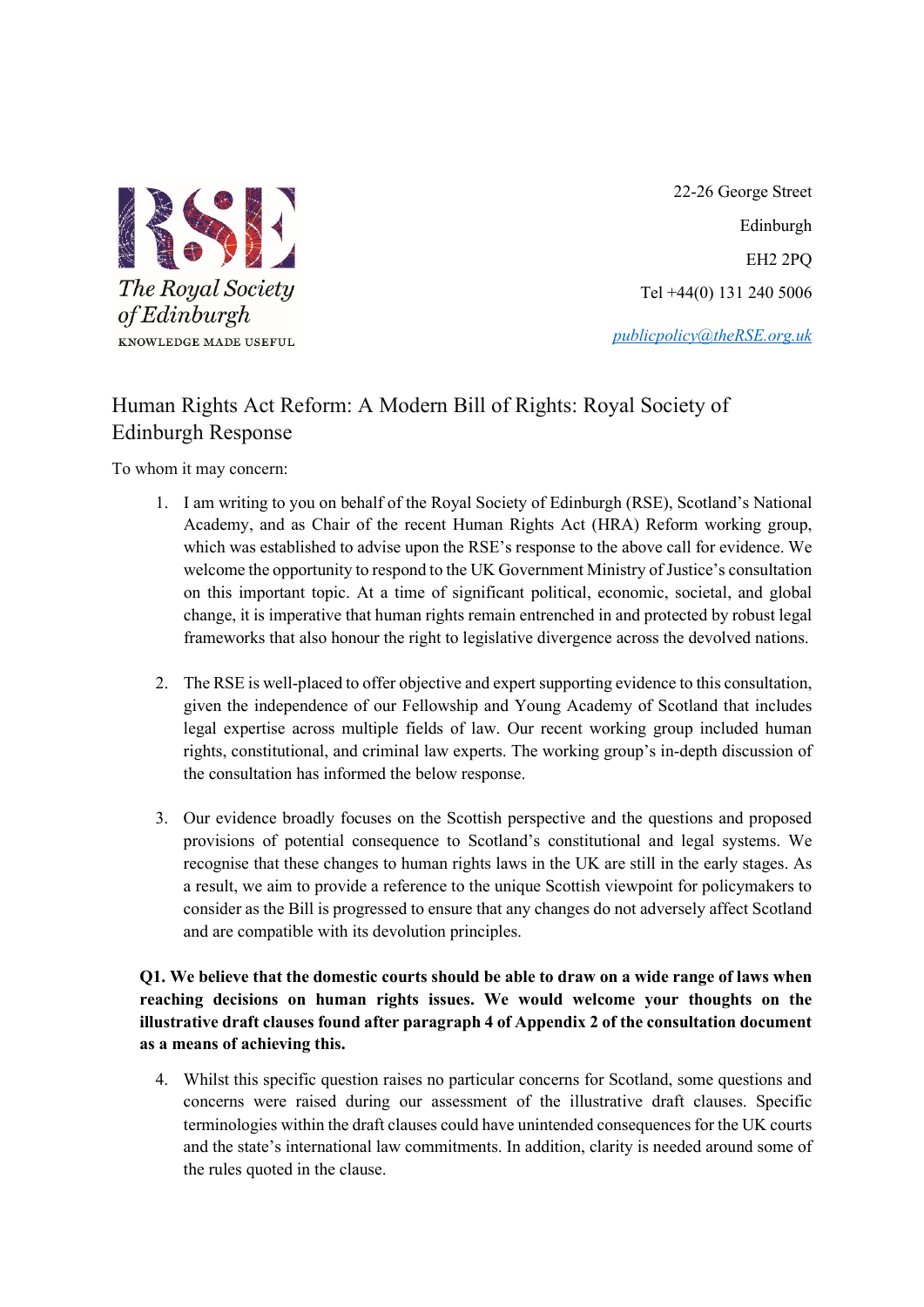

 22-26 George Street Edinburgh EH2 2PQ Tel +44(0) 131 240 5006

*[publicpolicy@theRSE.org.uk](mailto:publicpolicy@theRSE.org.uk)*

# Human Rights Act Reform: A Modern Bill of Rights: Royal Society of Edinburgh Response

To whom it may concern:

- 1. I am writing to you on behalf of the Royal Society of Edinburgh (RSE), Scotland's National Academy, and as Chair of the recent Human Rights Act (HRA) Reform working group, which was established to advise upon the RSE's response to the above call for evidence. We welcome the opportunity to respond to the UK Government Ministry of Justice's consultation on this important topic. At a time of significant political, economic, societal, and global change, it is imperative that human rights remain entrenched in and protected by robust legal frameworks that also honour the right to legislative divergence across the devolved nations.
- 2. The RSE is well-placed to offer objective and expert supporting evidence to this consultation, given the independence of our Fellowship and Young Academy of Scotland that includes legal expertise across multiple fields of law. Our recent working group included human rights, constitutional, and criminal law experts. The working group's in-depth discussion of the consultation has informed the below response.
- 3. Our evidence broadly focuses on the Scottish perspective and the questions and proposed provisions of potential consequence to Scotland's constitutional and legal systems. We recognise that these changes to human rights laws in the UK are still in the early stages. As a result, we aim to provide a reference to the unique Scottish viewpoint for policymakers to consider as the Bill is progressed to ensure that any changes do not adversely affect Scotland and are compatible with its devolution principles.

**Q1. We believe that the domestic courts should be able to draw on a wide range of laws when reaching decisions on human rights issues. We would welcome your thoughts on the illustrative draft clauses found after paragraph 4 of Appendix 2 of the consultation document as a means of achieving this.**

4. Whilst this specific question raises no particular concerns for Scotland, some questions and concerns were raised during our assessment of the illustrative draft clauses. Specific terminologies within the draft clauses could have unintended consequences for the UK courts and the state's international law commitments. In addition, clarity is needed around some of the rules quoted in the clause.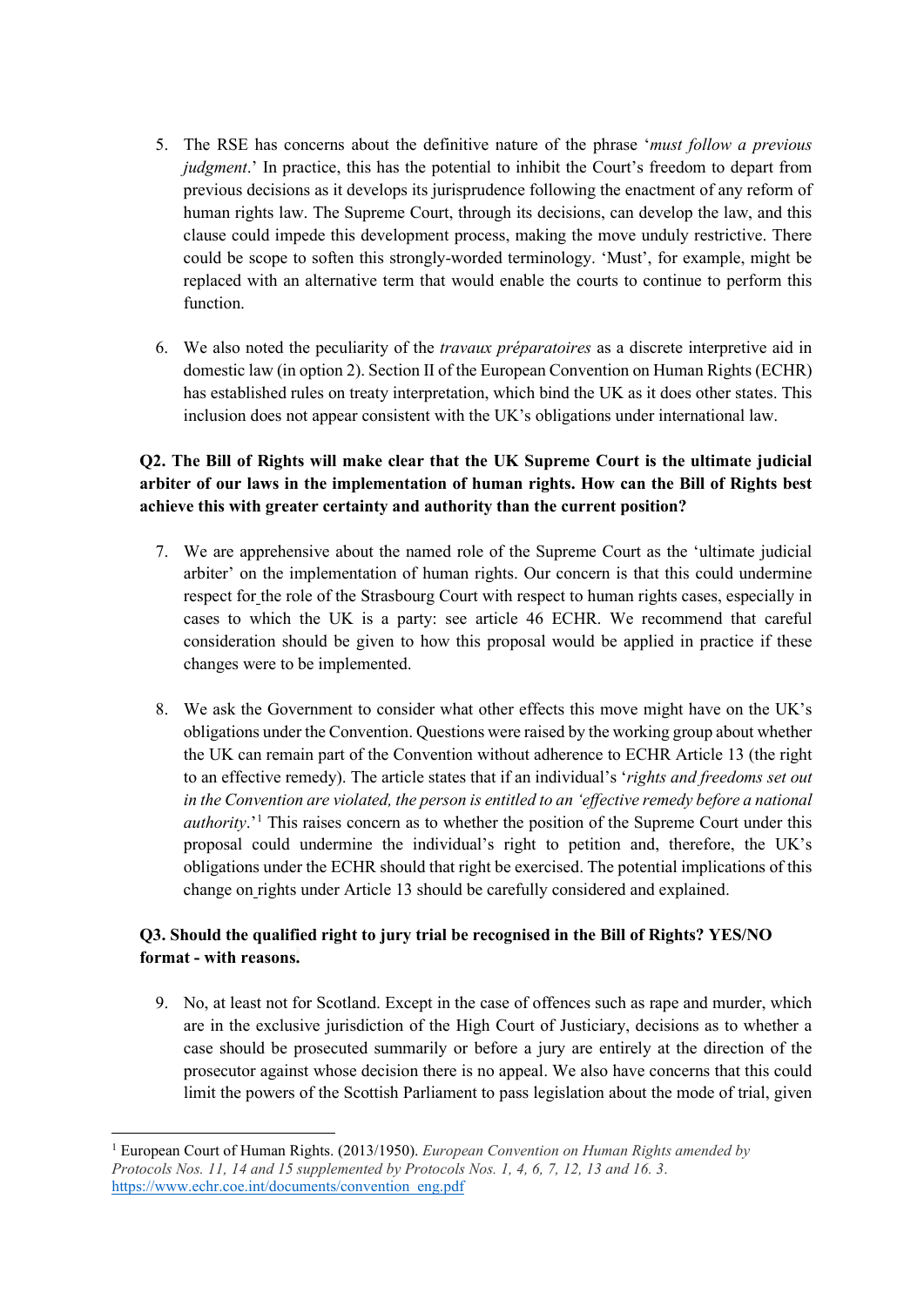- 5. The RSE has concerns about the definitive nature of the phrase '*must follow a previous judgment*.' In practice, this has the potential to inhibit the Court's freedom to depart from previous decisions as it develops its jurisprudence following the enactment of any reform of human rights law. The Supreme Court, through its decisions, can develop the law, and this clause could impede this development process, making the move unduly restrictive. There could be scope to soften this strongly-worded terminology. 'Must', for example, might be replaced with an alternative term that would enable the courts to continue to perform this function.
- 6. We also noted the peculiarity of the *travaux préparatoires* as a discrete interpretive aid in domestic law (in option 2). Section II of the European Convention on Human Rights (ECHR) has established rules on treaty interpretation, which bind the UK as it does other states. This inclusion does not appear consistent with the UK's obligations under international law.

## **Q2. The Bill of Rights will make clear that the UK Supreme Court is the ultimate judicial arbiter of our laws in the implementation of human rights. How can the Bill of Rights best achieve this with greater certainty and authority than the current position?**

- 7. We are apprehensive about the named role of the Supreme Court as the 'ultimate judicial arbiter' on the implementation of human rights. Our concern is that this could undermine respect for the role of the Strasbourg Court with respect to human rights cases, especially in cases to which the UK is a party: see article 46 ECHR. We recommend that careful consideration should be given to how this proposal would be applied in practice if these changes were to be implemented.
- 8. We ask the Government to consider what other effects this move might have on the UK's obligations under the Convention. Questions were raised by the working group about whether the UK can remain part of the Convention without adherence to ECHR Article 13 (the right to an effective remedy). The article states that if an individual's '*rights and freedoms set out in the Convention are violated, the person is entitled to an 'effective remedy before a national authority*.<sup>'[1](#page-1-0)</sup> This raises concern as to whether the position of the Supreme Court under this proposal could undermine the individual's right to petition and, therefore, the UK's obligations under the ECHR should that right be exercised. The potential implications of this change on rights under Article 13 should be carefully considered and explained.

## **Q3. Should the qualified right to jury trial be recognised in the Bill of Rights? YES/NO format - with reasons.**

9. No, at least not for Scotland. Except in the case of offences such as rape and murder, which are in the exclusive jurisdiction of the High Court of Justiciary, decisions as to whether a case should be prosecuted summarily or before a jury are entirely at the direction of the prosecutor against whose decision there is no appeal. We also have concerns that this could limit the powers of the Scottish Parliament to pass legislation about the mode of trial, given

<span id="page-1-0"></span><sup>1</sup> European Court of Human Rights. (2013/1950). *European Convention on Human Rights amended by Protocols Nos. 11, 14 and 15 supplemented by Protocols Nos. 1, 4, 6, 7, 12, 13 and 16. 3*. [https://www.echr.coe.int/documents/convention\\_eng.pdf](https://www.echr.coe.int/documents/convention_eng.pdf)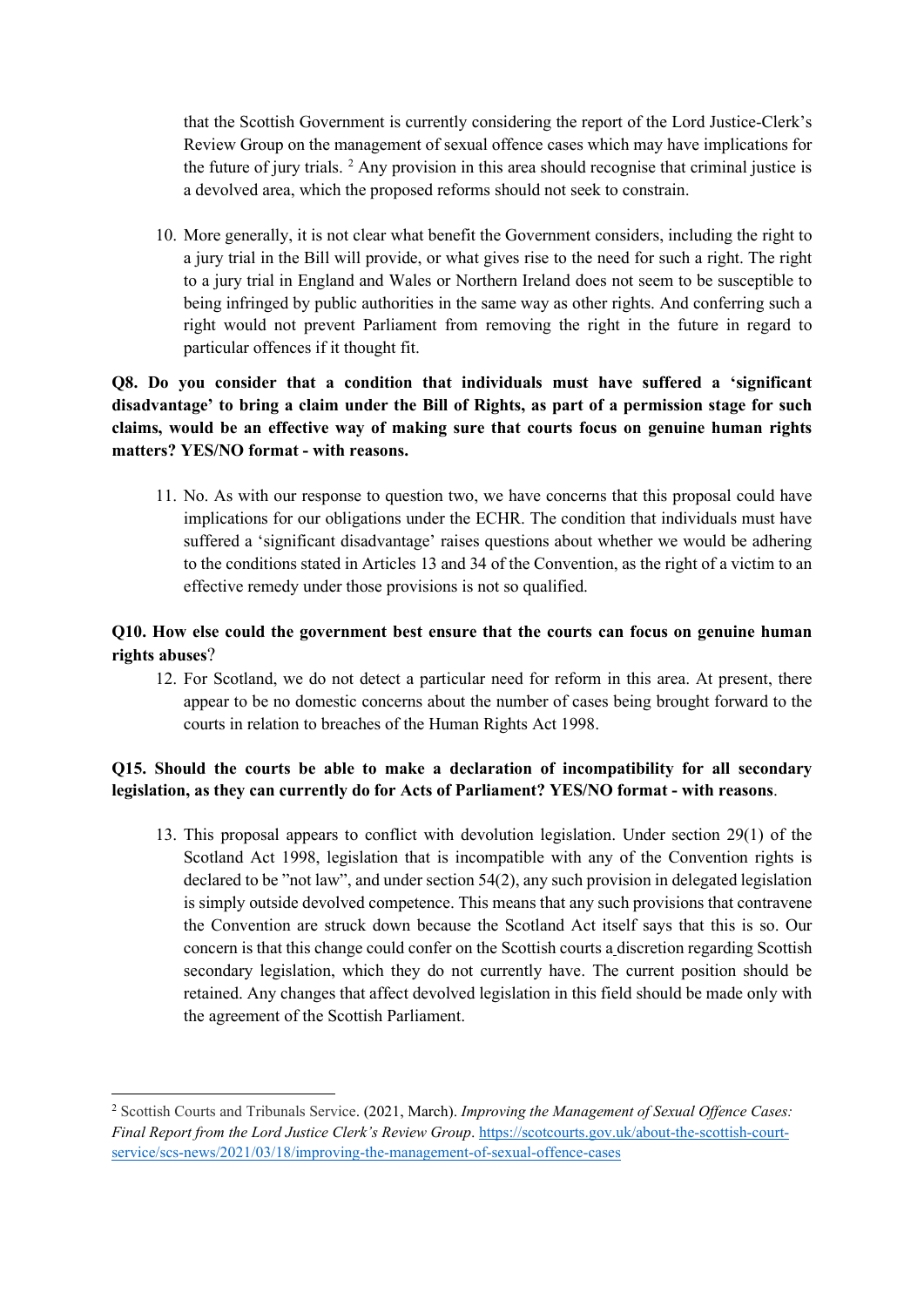that the Scottish Government is currently considering the report of the Lord Justice-Clerk's Review Group on the management of sexual offence cases which may have implications for the future of jury trials. [2](#page-2-0) Any provision in this area should recognise that criminal justice is a devolved area, which the proposed reforms should not seek to constrain.

10. More generally, it is not clear what benefit the Government considers, including the right to a jury trial in the Bill will provide, or what gives rise to the need for such a right. The right to a jury trial in England and Wales or Northern Ireland does not seem to be susceptible to being infringed by public authorities in the same way as other rights. And conferring such a right would not prevent Parliament from removing the right in the future in regard to particular offences if it thought fit.

## **Q8. Do you consider that a condition that individuals must have suffered a 'significant disadvantage' to bring a claim under the Bill of Rights, as part of a permission stage for such claims, would be an effective way of making sure that courts focus on genuine human rights matters? YES/NO format - with reasons.**

11. No. As with our response to question two, we have concerns that this proposal could have implications for our obligations under the ECHR. The condition that individuals must have suffered a 'significant disadvantage' raises questions about whether we would be adhering to the conditions stated in Articles 13 and 34 of the Convention, as the right of a victim to an effective remedy under those provisions is not so qualified.

# **Q10. How else could the government best ensure that the courts can focus on genuine human rights abuses**?

12. For Scotland, we do not detect a particular need for reform in this area. At present, there appear to be no domestic concerns about the number of cases being brought forward to the courts in relation to breaches of the Human Rights Act 1998.

## **Q15. Should the courts be able to make a declaration of incompatibility for all secondary legislation, as they can currently do for Acts of Parliament? YES/NO format - with reasons**.

13. This proposal appears to conflict with devolution legislation. Under section 29(1) of the Scotland Act 1998, legislation that is incompatible with any of the Convention rights is declared to be "not law", and under section 54(2), any such provision in delegated legislation is simply outside devolved competence. This means that any such provisions that contravene the Convention are struck down because the Scotland Act itself says that this is so. Our concern is that this change could confer on the Scottish courts a discretion regarding Scottish secondary legislation, which they do not currently have. The current position should be retained. Any changes that affect devolved legislation in this field should be made only with the agreement of the Scottish Parliament.

<span id="page-2-0"></span><sup>2</sup> Scottish Courts and Tribunals Service. (2021, March). *Improving the Management of Sexual Offence Cases: Final Report from the Lord Justice Clerk's Review Group*. [https://scotcourts.gov.uk/about-the-scottish-court](https://scotcourts.gov.uk/about-the-scottish-court-service/scs-news/2021/03/18/improving-the-management-of-sexual-offence-cases)[service/scs-news/2021/03/18/improving-the-management-of-sexual-offence-cases](https://scotcourts.gov.uk/about-the-scottish-court-service/scs-news/2021/03/18/improving-the-management-of-sexual-offence-cases)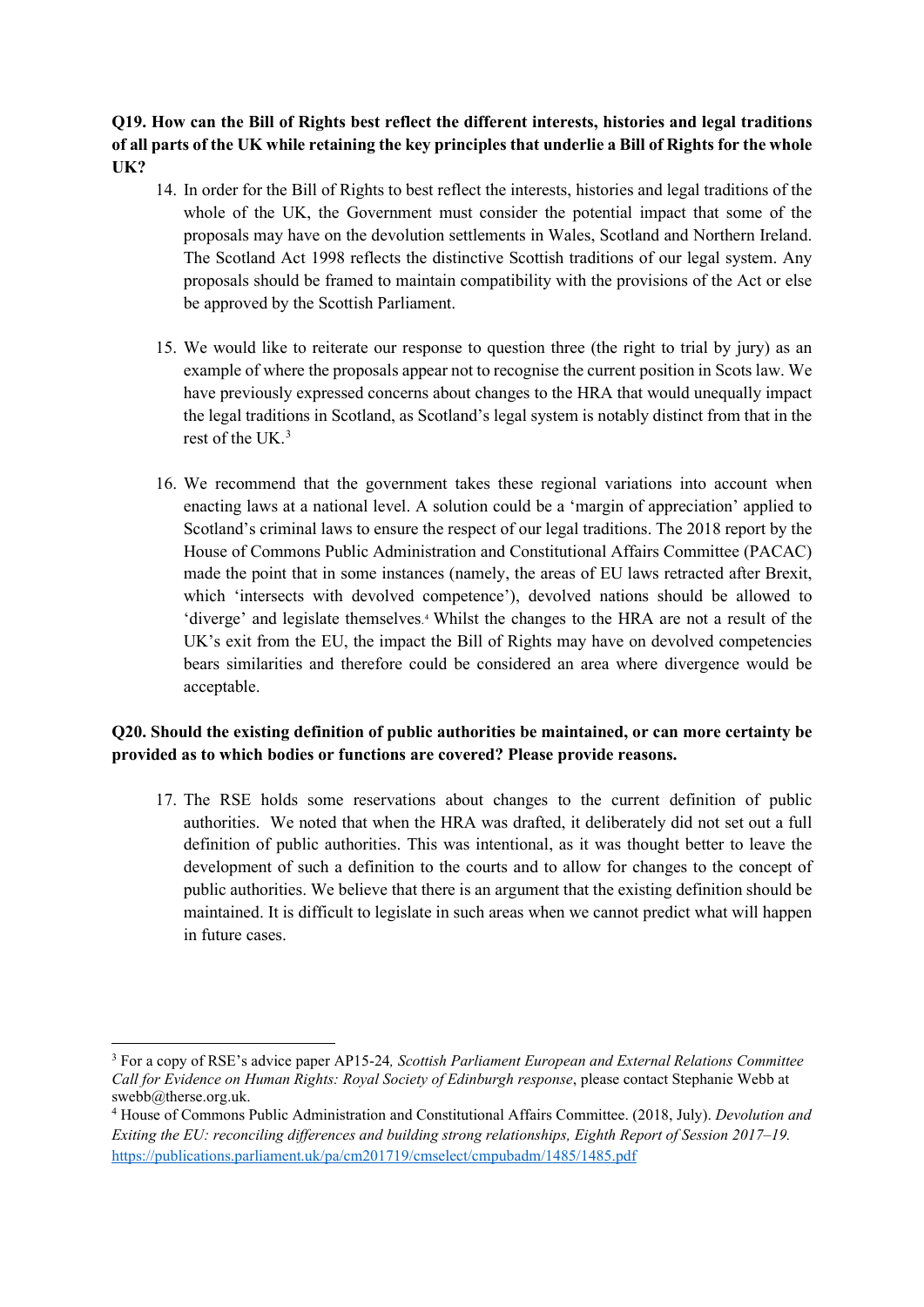## **Q19. How can the Bill of Rights best reflect the different interests, histories and legal traditions of all parts of the UK while retaining the key principles that underlie a Bill of Rights for the whole UK?**

- 14. In order for the Bill of Rights to best reflect the interests, histories and legal traditions of the whole of the UK, the Government must consider the potential impact that some of the proposals may have on the devolution settlements in Wales, Scotland and Northern Ireland. The Scotland Act 1998 reflects the distinctive Scottish traditions of our legal system. Any proposals should be framed to maintain compatibility with the provisions of the Act or else be approved by the Scottish Parliament.
- 15. We would like to reiterate our response to question three (the right to trial by jury) as an example of where the proposals appear not to recognise the current position in Scots law. We have previously expressed concerns about changes to the HRA that would unequally impact the legal traditions in Scotland, as Scotland's legal system is notably distinct from that in the rest of the  $I/K<sup>3</sup>$  $I/K<sup>3</sup>$  $I/K<sup>3</sup>$
- 16. We recommend that the government takes these regional variations into account when enacting laws at a national level. A solution could be a 'margin of appreciation' applied to Scotland's criminal laws to ensure the respect of our legal traditions. The 2018 report by the House of Commons Public Administration and Constitutional Affairs Committee (PACAC) made the point that in some instances (namely, the areas of EU laws retracted after Brexit, which 'intersects with devolved competence'), devolved nations should be allowed to 'diverge' and legislate themselves. [4](#page-3-1) Whilst the changes to the HRA are not a result of the UK's exit from the EU, the impact the Bill of Rights may have on devolved competencies bears similarities and therefore could be considered an area where divergence would be acceptable.

#### **Q20. Should the existing definition of public authorities be maintained, or can more certainty be provided as to which bodies or functions are covered? Please provide reasons.**

17. The RSE holds some reservations about changes to the current definition of public authorities. We noted that when the HRA was drafted, it deliberately did not set out a full definition of public authorities. This was intentional, as it was thought better to leave the development of such a definition to the courts and to allow for changes to the concept of public authorities. We believe that there is an argument that the existing definition should be maintained. It is difficult to legislate in such areas when we cannot predict what will happen in future cases.

<span id="page-3-0"></span><sup>3</sup> For a copy of RSE's advice paper AP15-24*, Scottish Parliament European and External Relations Committee Call for Evidence on Human Rights: Royal Society of Edinburgh response*, please contact Stephanie Webb at swebb@therse.org.uk.

<span id="page-3-1"></span><sup>4</sup> House of Commons Public Administration and Constitutional Affairs Committee. (2018, July). *Devolution and Exiting the EU: reconciling differences and building strong relationships, Eighth Report of Session 2017–19.* <https://publications.parliament.uk/pa/cm201719/cmselect/cmpubadm/1485/1485.pdf>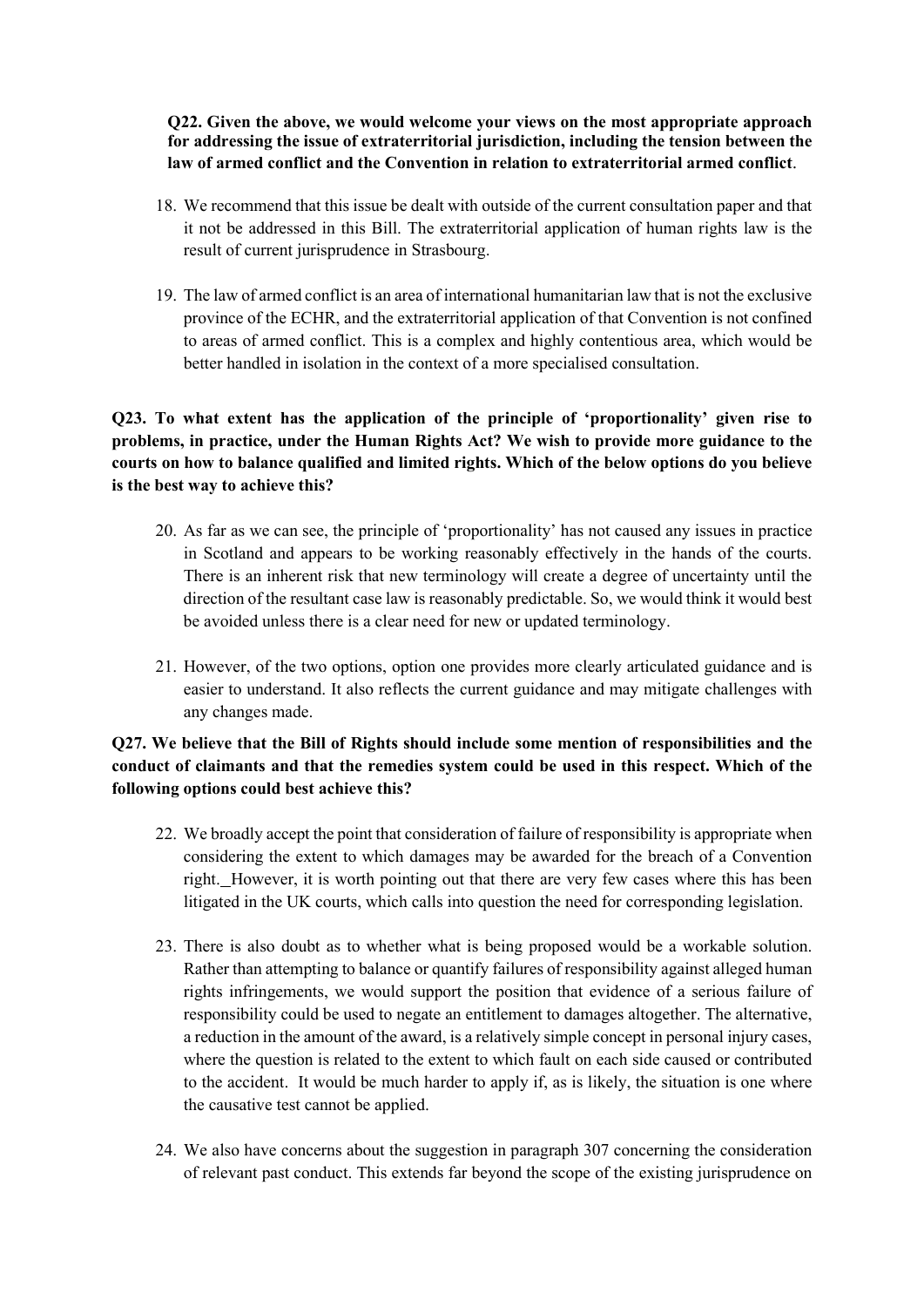**Q22. Given the above, we would welcome your views on the most appropriate approach for addressing the issue of extraterritorial jurisdiction, including the tension between the law of armed conflict and the Convention in relation to extraterritorial armed conflict**.

- 18. We recommend that this issue be dealt with outside of the current consultation paper and that it not be addressed in this Bill. The extraterritorial application of human rights law is the result of current jurisprudence in Strasbourg.
- 19. The law of armed conflict is an area of international humanitarian law that is not the exclusive province of the ECHR, and the extraterritorial application of that Convention is not confined to areas of armed conflict. This is a complex and highly contentious area, which would be better handled in isolation in the context of a more specialised consultation.

**Q23. To what extent has the application of the principle of 'proportionality' given rise to problems, in practice, under the Human Rights Act? We wish to provide more guidance to the courts on how to balance qualified and limited rights. Which of the below options do you believe is the best way to achieve this?**

- 20. As far as we can see, the principle of 'proportionality' has not caused any issues in practice in Scotland and appears to be working reasonably effectively in the hands of the courts. There is an inherent risk that new terminology will create a degree of uncertainty until the direction of the resultant case law is reasonably predictable. So, we would think it would best be avoided unless there is a clear need for new or updated terminology.
- 21. However, of the two options, option one provides more clearly articulated guidance and is easier to understand. It also reflects the current guidance and may mitigate challenges with any changes made.

## **Q27. We believe that the Bill of Rights should include some mention of responsibilities and the conduct of claimants and that the remedies system could be used in this respect. Which of the following options could best achieve this?**

- 22. We broadly accept the point that consideration of failure of responsibility is appropriate when considering the extent to which damages may be awarded for the breach of a Convention right. However, it is worth pointing out that there are very few cases where this has been litigated in the UK courts, which calls into question the need for corresponding legislation.
- 23. There is also doubt as to whether what is being proposed would be a workable solution. Rather than attempting to balance or quantify failures of responsibility against alleged human rights infringements, we would support the position that evidence of a serious failure of responsibility could be used to negate an entitlement to damages altogether. The alternative, a reduction in the amount of the award, is a relatively simple concept in personal injury cases, where the question is related to the extent to which fault on each side caused or contributed to the accident. It would be much harder to apply if, as is likely, the situation is one where the causative test cannot be applied.
- 24. We also have concerns about the suggestion in paragraph 307 concerning the consideration of relevant past conduct. This extends far beyond the scope of the existing jurisprudence on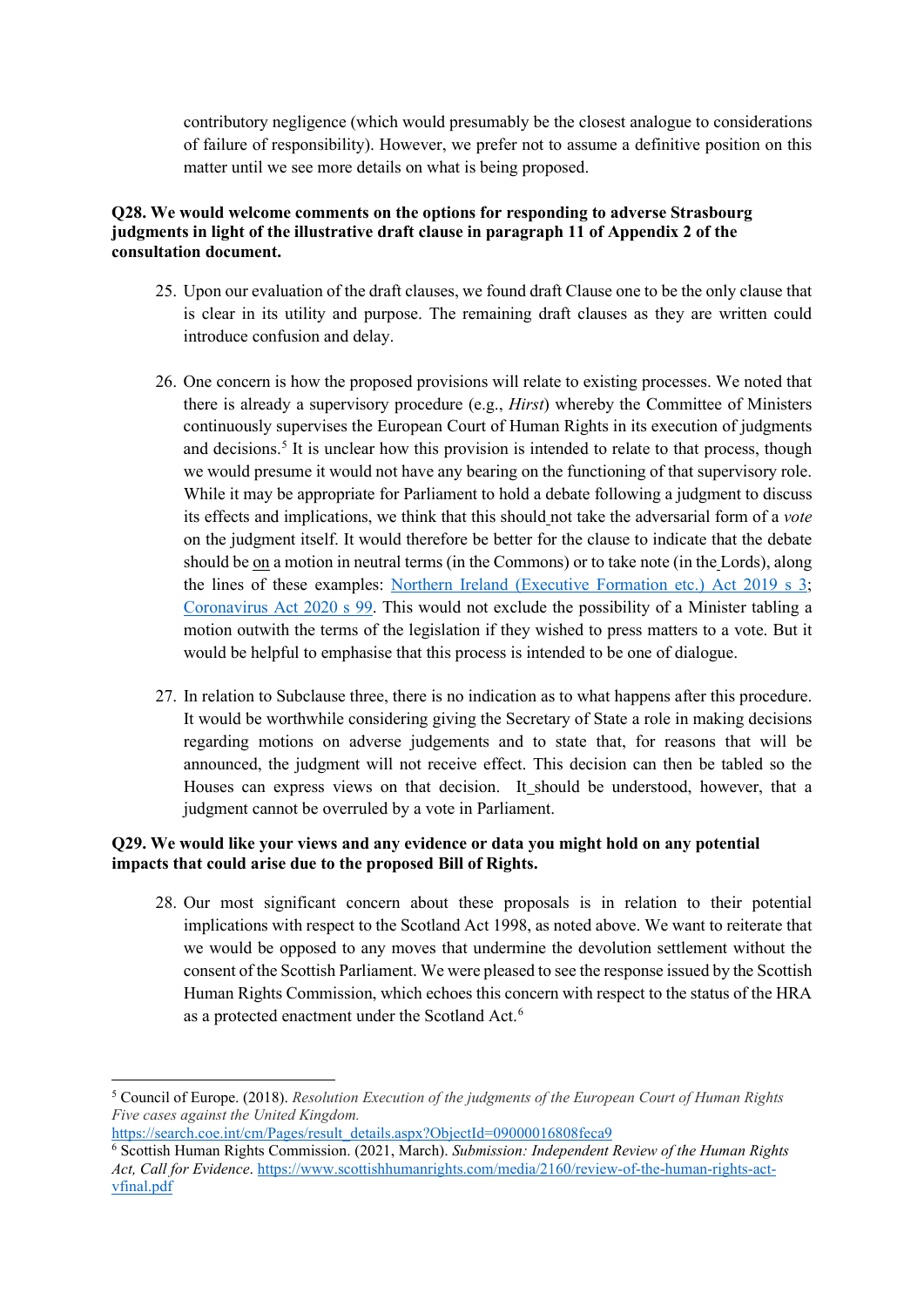contributory negligence (which would presumably be the closest analogue to considerations of failure of responsibility). However, we prefer not to assume a definitive position on this matter until we see more details on what is being proposed.

#### **Q28. We would welcome comments on the options for responding to adverse Strasbourg judgments in light of the illustrative draft clause in paragraph 11 of Appendix 2 of the consultation document.**

- 25. Upon our evaluation of the draft clauses, we found draft Clause one to be the only clause that is clear in its utility and purpose. The remaining draft clauses as they are written could introduce confusion and delay.
- 26. One concern is how the proposed provisions will relate to existing processes. We noted that there is already a supervisory procedure (e.g., *Hirst*) whereby the Committee of Ministers continuously supervises the European Court of Human Rights in its execution of judgments and decisions. [5](#page-5-0) It is unclear how this provision is intended to relate to that process, though we would presume it would not have any bearing on the functioning of that supervisory role. While it may be appropriate for Parliament to hold a debate following a judgment to discuss its effects and implications, we think that this should not take the adversarial form of a *vote*  on the judgment itself. It would therefore be better for the clause to indicate that the debate should be on a motion in neutral terms (in the Commons) or to take note (in the Lords), along the lines of these examples: [Northern Ireland \(Executive Formation etc.\) Act 2019 s 3;](https://protect-eu.mimecast.com/s/86lhCL72pfLm2Ac4SA2A?domain=legislation.gov.uk) [Coronavirus Act 2020 s 99.](https://protect-eu.mimecast.com/s/hczaCMw2qTjRYghYcy0F?domain=legislation.gov.uk) This would not exclude the possibility of a Minister tabling a motion outwith the terms of the legislation if they wished to press matters to a vote. But it would be helpful to emphasise that this process is intended to be one of dialogue.
- 27. In relation to Subclause three, there is no indication as to what happens after this procedure. It would be worthwhile considering giving the Secretary of State a role in making decisions regarding motions on adverse judgements and to state that, for reasons that will be announced, the judgment will not receive effect. This decision can then be tabled so the Houses can express views on that decision. It should be understood, however, that a judgment cannot be overruled by a vote in Parliament.

#### **Q29. We would like your views and any evidence or data you might hold on any potential impacts that could arise due to the proposed Bill of Rights.**

28. Our most significant concern about these proposals is in relation to their potential implications with respect to the Scotland Act 1998, as noted above. We want to reiterate that we would be opposed to any moves that undermine the devolution settlement without the consent of the Scottish Parliament. We were pleased to see the response issued by the Scottish Human Rights Commission, which echoes this concern with respect to the status of the HRA as a protected enactment under the Scotland Act.<sup>[6](#page-5-1)</sup>

[https://search.coe.int/cm/Pages/result\\_details.aspx?ObjectId=09000016808feca9](https://search.coe.int/cm/Pages/result_details.aspx?ObjectId=09000016808feca9)

<span id="page-5-0"></span><sup>5</sup> Council of Europe. (2018). *Resolution Execution of the judgments of the European Court of Human Rights Five cases against the United Kingdom.*

<span id="page-5-1"></span><sup>6</sup> Scottish Human Rights Commission. (2021, March). *Submission: Independent Review of the Human Rights Act, Call for Evidence*. [https://www.scottishhumanrights.com/media/2160/review-of-the-human-rights-act](https://www.scottishhumanrights.com/media/2160/review-of-the-human-rights-act-vfinal.pdf)[vfinal.pdf](https://www.scottishhumanrights.com/media/2160/review-of-the-human-rights-act-vfinal.pdf)